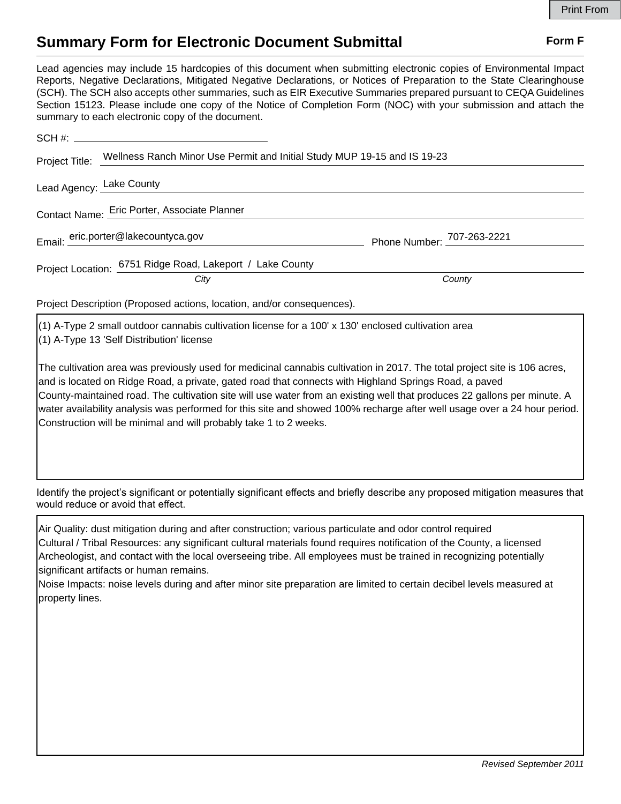## **Summary Form for Electronic Document Submittal Form F Form F**

Lead agencies may include 15 hardcopies of this document when submitting electronic copies of Environmental Impact Reports, Negative Declarations, Mitigated Negative Declarations, or Notices of Preparation to the State Clearinghouse (SCH). The SCH also accepts other summaries, such as EIR Executive Summaries prepared pursuant to CEQA Guidelines Section 15123. Please include one copy of the Notice of Completion Form (NOC) with your submission and attach the summary to each electronic copy of the document.

|                                                                        | Project Title: Wellness Ranch Minor Use Permit and Initial Study MUP 19-15 and IS 19-23 |                            |
|------------------------------------------------------------------------|-----------------------------------------------------------------------------------------|----------------------------|
|                                                                        | Lead Agency: Lake County                                                                |                            |
| Contact Name: Eric Porter, Associate Planner                           |                                                                                         |                            |
|                                                                        | Email: eric.porter@lakecountyca.gov                                                     |                            |
|                                                                        |                                                                                         | Phone Number: 707-263-2221 |
|                                                                        | Project Location: 6751 Ridge Road, Lakeport / Lake County                               |                            |
|                                                                        | City                                                                                    | County                     |
| Project Description (Proposed actions, location, and/or consequences). |                                                                                         |                            |

(1) A-Type 2 small outdoor cannabis cultivation license for a 100' x 130' enclosed cultivation area (1) A-Type 13 'Self Distribution' license

The cultivation area was previously used for medicinal cannabis cultivation in 2017. The total project site is 106 acres, and is located on Ridge Road, a private, gated road that connects with Highland Springs Road, a paved County-maintained road. The cultivation site will use water from an existing well that produces 22 gallons per minute. A water availability analysis was performed for this site and showed 100% recharge after well usage over a 24 hour period. Construction will be minimal and will probably take 1 to 2 weeks.

Identify the project's significant or potentially significant effects and briefly describe any proposed mitigation measures that would reduce or avoid that effect.

Air Quality: dust mitigation during and after construction; various particulate and odor control required Cultural / Tribal Resources: any significant cultural materials found requires notification of the County, a licensed Archeologist, and contact with the local overseeing tribe. All employees must be trained in recognizing potentially significant artifacts or human remains.

Noise Impacts: noise levels during and after minor site preparation are limited to certain decibel levels measured at property lines.